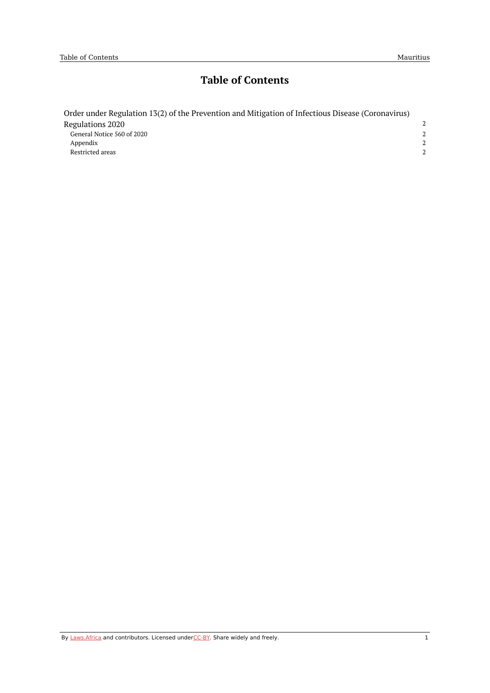# **Table of Contents**

| Order under Regulation 13(2) of the Prevention and Mitigation of Infectious Disease (Coronavirus) |         |
|---------------------------------------------------------------------------------------------------|---------|
| Regulations 2020                                                                                  |         |
| General Notice 560 of 2020                                                                        |         |
| Appendix                                                                                          | $2^{1}$ |
| Restricted areas                                                                                  |         |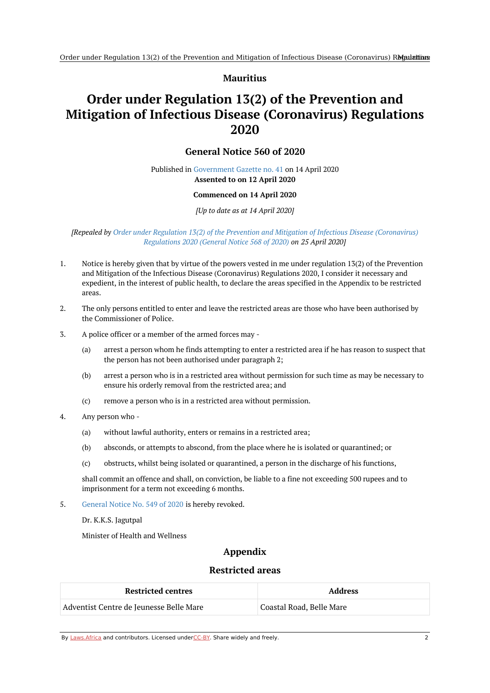#### **Mauritius**

# <span id="page-1-1"></span><span id="page-1-0"></span>**Order under Regulation 13(2) of the Prevention and Mitigation of Infectious Disease (Coronavirus) Regulations 2020**

### **General Notice 560 of 2020**

#### Published in [Government](https://commons.laws.africa/akn/mu/act/genn/2020/560/media/publication/mu-act-genn-2020-560-publication-document.pdf) Gazette no. 41 on 14 April 2020 **Assented to on 12 April 2020**

#### **Commenced on 14 April 2020**

*[Up to date as at 14 April 2020]*

#### *[Repealed by Order under Regulation 13(2) of the Prevention and Mitigation of Infectious Disease [\(Coronavirus\)](https://africanlii.org/akn/mu/act/genn/2020/568) Regulations 2020 (General Notice 568 of 2020) on 25 April 2020]*

- 1. Notice is hereby given that by virtue of the powers vested in me under regulation 13(2) of the Prevention and Mitigation of the Infectious Disease (Coronavirus) Regulations 2020, I consider it necessary and expedient, in the interest of public health, to declare the areas specified in the Appendix to be restricted areas.
- 2. The only persons entitled to enter and leave the restricted areas are those who have been authorised by the Commissioner of Police.
- 3. A police officer or a member of the armed forces may -
	- (a) arrest a person whom he finds attempting to enter a restricted area if he has reason to suspect that the person has not been authorised under paragraph 2;
	- (b) arrest a person who is in a restricted area without permission for such time as may be necessary to ensure his orderly removal from the restricted area; and
	- (c) remove a person who is in a restricted area without permission.
- 4. Any person who -
	- (a) without lawful authority, enters or remains in a restricted area;
	- (b) absconds, or attempts to abscond, from the place where he is isolated or quarantined; or
	- (c) obstructs, whilst being isolated or quarantined, a person in the discharge of his functions,

shall commit an offence and shall, on conviction, be liable to a fine not exceeding 500 rupees and to imprisonment for a term not exceeding 6 months.

5. [General](https://africanlii.org/akn/mu/act/genn/2020/549) Notice No. 549 of 2020 is hereby revoked.

Dr. K.K.S. Jagutpal

<span id="page-1-2"></span>Minister of Health and Wellness

## **Appendix**

#### **Restricted areas**

<span id="page-1-3"></span>

| <b>Restricted centres</b>               | <b>Address</b>           |
|-----------------------------------------|--------------------------|
| Adventist Centre de Jeunesse Belle Mare | Coastal Road, Belle Mare |

By [Laws.Africa](https://edit.laws.africa/widgets/pdf-attribution) and contributors. Licensed und[erCC-B](https://edit.laws.africa/widgets/pdf-cc-by)Y. Share widely and freely.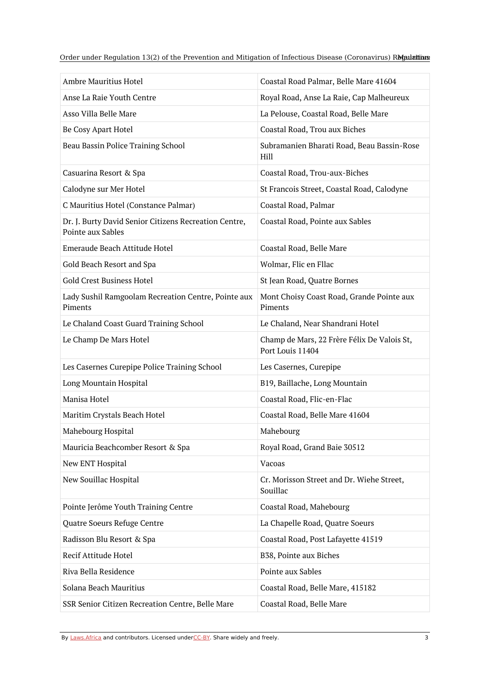Order under Regulation 13(2) of the Prevention and Mitigation of Infectious Disease (Coronavirus) RMaulatiions

| Ambre Mauritius Hotel                                                      | Coastal Road Palmar, Belle Mare 41604                           |
|----------------------------------------------------------------------------|-----------------------------------------------------------------|
| Anse La Raie Youth Centre                                                  | Royal Road, Anse La Raie, Cap Malheureux                        |
| Asso Villa Belle Mare                                                      | La Pelouse, Coastal Road, Belle Mare                            |
| Be Cosy Apart Hotel                                                        | Coastal Road, Trou aux Biches                                   |
| Beau Bassin Police Training School                                         | Subramanien Bharati Road, Beau Bassin-Rose<br>Hill              |
| Casuarina Resort & Spa                                                     | Coastal Road, Trou-aux-Biches                                   |
| Calodyne sur Mer Hotel                                                     | St Francois Street, Coastal Road, Calodyne                      |
| C Mauritius Hotel (Constance Palmar)                                       | Coastal Road, Palmar                                            |
| Dr. J. Burty David Senior Citizens Recreation Centre,<br>Pointe aux Sables | Coastal Road, Pointe aux Sables                                 |
| Emeraude Beach Attitude Hotel                                              | Coastal Road, Belle Mare                                        |
| Gold Beach Resort and Spa                                                  | Wolmar, Flic en Fllac                                           |
| <b>Gold Crest Business Hotel</b>                                           | St Jean Road, Quatre Bornes                                     |
| Lady Sushil Ramgoolam Recreation Centre, Pointe aux<br>Piments             | Mont Choisy Coast Road, Grande Pointe aux<br>Piments            |
| Le Chaland Coast Guard Training School                                     | Le Chaland, Near Shandrani Hotel                                |
| Le Champ De Mars Hotel                                                     | Champ de Mars, 22 Frère Félix De Valois St,<br>Port Louis 11404 |
| Les Casernes Curepipe Police Training School                               | Les Casernes, Curepipe                                          |
| Long Mountain Hospital                                                     | B19, Baillache, Long Mountain                                   |
| Manisa Hotel                                                               | Coastal Road, Flic-en-Flac                                      |
| Maritim Crystals Beach Hotel                                               | Coastal Road, Belle Mare 41604                                  |
| Mahebourg Hospital                                                         | Mahebourg                                                       |
| Mauricia Beachcomber Resort & Spa                                          | Royal Road, Grand Baie 30512                                    |
| New ENT Hospital                                                           | Vacoas                                                          |
| New Souillac Hospital                                                      | Cr. Morisson Street and Dr. Wiehe Street,<br>Souillac           |
| Pointe Jerôme Youth Training Centre                                        | Coastal Road, Mahebourg                                         |
| Quatre Soeurs Refuge Centre                                                | La Chapelle Road, Quatre Soeurs                                 |
| Radisson Blu Resort & Spa                                                  | Coastal Road, Post Lafayette 41519                              |
| Recif Attitude Hotel                                                       | B38, Pointe aux Biches                                          |
| Riva Bella Residence                                                       | Pointe aux Sables                                               |
| Solana Beach Mauritius                                                     | Coastal Road, Belle Mare, 415182                                |
| SSR Senior Citizen Recreation Centre, Belle Mare                           | Coastal Road, Belle Mare                                        |

By [Laws.Africa](https://edit.laws.africa/widgets/pdf-attribution) and contributors. Licensed und[erCC-B](https://edit.laws.africa/widgets/pdf-cc-by)Y. Share widely and freely. 3